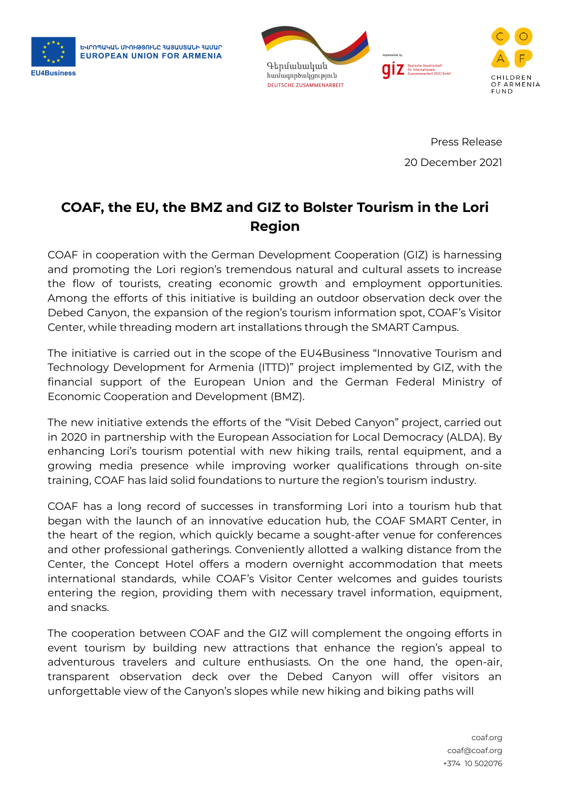PACUMUMUL DEUPOSUELO SUBUDISTITE SULTUL **EUROPEAN UNION FOR ARMENIA** 

**EU4Business** 





Press Release 20 December 2021

nate<br>ieit (612) GmbF

## **COAF, the EU, the BMZ and GIZ to Bolster Tourism in the Lori Region**

COAF in cooperation with the German Development Cooperation (GIZ) is harnessing and promoting the Lori region's tremendous natural and cultural assets to increase the flow of tourists, creating economic growth and employment opportunities. Among the efforts of this initiative is building an outdoor observation deck over the Debed Canyon, the expansion of the region's tourism information spot, COAF's Visitor Center, while threading modern art installations through the SMART Campus.

The initiative is carried out in the scope of the EU4Business "Innovative Tourism and Technology Development for Armenia (ITTD)" project implemented by GIZ, with the financial support of the European Union and the German Federal Ministry of Economic Cooperation and Development (BMZ).

The new initiative extends the efforts of the "Visit Debed Canyon" project, carried out in 2020 in partnership with the European Association for Local Democracy (ALDA). By enhancing Lori's tourism potential with new hiking trails, rental equipment, and a growing media presence while improving worker qualifications through on-site training, COAF has laid solid foundations to nurture the region's tourism industry.

COAF has a long record of successes in transforming Lori into a tourism hub that began with the launch of an innovative education hub, the COAF SMART Center, in the heart of the region, which quickly became a sought-after venue for conferences and other professional gatherings. Conveniently allotted a walking distance from the Center, the Concept Hotel offers a modern overnight accommodation that meets international standards, while COAF's Visitor Center welcomes and guides tourists entering the region, providing them with necessary travel information, equipment, and snacks.

The cooperation between COAF and the GIZ will complement the ongoing efforts in event tourism by building new attractions that enhance the region's appeal to adventurous travelers and culture enthusiasts. On the one hand, the open-air, transparent observation deck over the Debed Canyon will offer visitors an unforgettable view of the Canyon's slopes while new hiking and biking paths will